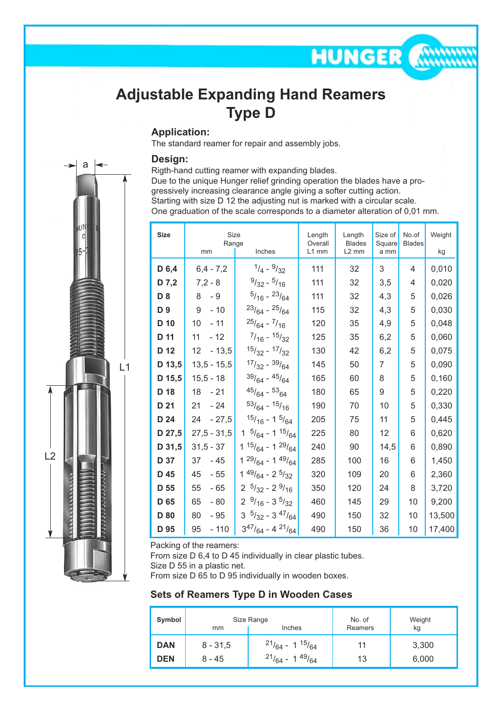## **Adjustable Expanding Hand Reamers Type D**

### **Application:**

The standard reamer for repair and assembly jobs.

### **Design:**

Rigth-hand cutting reamer with expanding blades. Due to the unique Hunger relief grinding operation the blades have a pro-

gressively increasing clearance angle giving a softer cutting action.

Starting with size D 12 the adjusting nut is marked with a circular scale.

One graduation of the scale corresponds to a diameter alteration of 0,01 mm.

**HUNGER** 

| <b>Size</b> | Size<br>Range<br>Inches<br>mm |                                    | Length                                                 | Length         | Size of       | No.of | Weight |
|-------------|-------------------------------|------------------------------------|--------------------------------------------------------|----------------|---------------|-------|--------|
|             |                               |                                    | Overall<br><b>Blades</b><br>L1 mm<br>L <sub>2</sub> mm | Square<br>a mm | <b>Blades</b> | kg    |        |
| D 6,4       | $6,4 - 7,2$                   | $1/4 - 9/32$                       | 111                                                    | 32             | 3             | 4     | 0,010  |
| D 7,2       | $7,2 - 8$                     | $9/32 - 5/16$                      | 111                                                    | 32             | 3,5           | 4     | 0,020  |
| D 8         | 8<br>- 9                      | $\frac{5}{16} - \frac{23}{64}$     | 111                                                    | 32             | 4,3           | 5     | 0,026  |
| D 9         | $-10$<br>9                    | $23/64 - 25/64$                    | 115                                                    | 32             | 4,3           | 5     | 0,030  |
| D 10        | 10<br>$-11$                   | $^{25}/_{64}$ - $^{7}/_{16}$       | 120                                                    | 35             | 4,9           | 5     | 0,048  |
| D 11        | 11<br>$-12$                   | $7/16 - 15/32$                     | 125                                                    | 35             | 6,2           | 5     | 0,060  |
| D 12        | $-13,5$<br>12                 | $15/32 - 17/32$                    | 130                                                    | 42             | 6,2           | 5     | 0,075  |
| D 13,5      | $13,5 - 15,5$                 | $17/32 - 39/64$                    | 145                                                    | 50             | 7             | 5     | 0,090  |
| D 15,5      | $15,5 - 18$                   | $39/64 - 45/64$                    | 165                                                    | 60             | 8             | 5     | 0,160  |
| D 18        | $-21$<br>18                   | $45/64 - 53/64$                    | 180                                                    | 65             | 9             | 5     | 0,220  |
| D 21        | $-24$<br>21                   | $53/64 - 15/16$                    | 190                                                    | 70             | 10            | 5     | 0,330  |
| D 24        | $-27,5$<br>24                 | $15/16 - 15/64$                    | 205                                                    | 75             | 11            | 5     | 0,445  |
| D 27,5      | $27,5 - 31,5$                 | $1 \frac{5}{64} - 1 \frac{15}{64}$ | 225                                                    | 80             | 12            | 6     | 0,620  |
| D 31,5      | $31,5 - 37$                   | 1 $^{15}/_{64}$ - 1 $^{29}/_{64}$  | 240                                                    | 90             | 14,5          | 6     | 0,890  |
| D 37        | 37<br>- 45                    | $1^{29}/_{64}$ - 1 $^{49}/_{64}$   | 285                                                    | 100            | 16            | 6     | 1,450  |
| D 45        | 45<br>- 55                    | $1^{49/64}$ - 2 $^{5/32}$          | 320                                                    | 109            | 20            | 6     | 2,360  |
| D 55        | 55<br>$-65$                   | $2^{5/32} - 2^{9/16}$              | 350                                                    | 120            | 24            | 8     | 3,720  |
| D 65        | $-80$<br>65                   | $2 \frac{9}{16} - 3 \frac{5}{32}$  | 460                                                    | 145            | 29            | 10    | 9,200  |
| D 80        | 80<br>- 95                    | $3\frac{5}{32} - 3\frac{47}{64}$   | 490                                                    | 150            | 32            | 10    | 13,500 |
| D 95        | 95<br>$-110$                  | $3^{47}/_{64}$ - 4 $2^{1}/_{64}$   | 490                                                    | 150            | 36            | 10    | 17,400 |

Packing of the reamers:

From size D 6,4 to D 45 individually in clear plastic tubes.

Size D 55 in a plastic net.

From size D 65 to D 95 individually in wooden boxes.

#### **Sets of Reamers Type D in Wooden Cases**

| Symbol     | Size Range<br>Inches<br>mm |                                 | No. of<br>Reamers | Weight<br>kg |
|------------|----------------------------|---------------------------------|-------------------|--------------|
| <b>DAN</b> | $8 - 31,5$                 | $^{21}/_{64}$ - 1 $^{15}/_{64}$ | 11                | 3,300        |
| <b>DEN</b> | 8 - 45                     | $^{21}/_{64}$ - 1 $^{49}/_{64}$ | 13                | 6,000        |